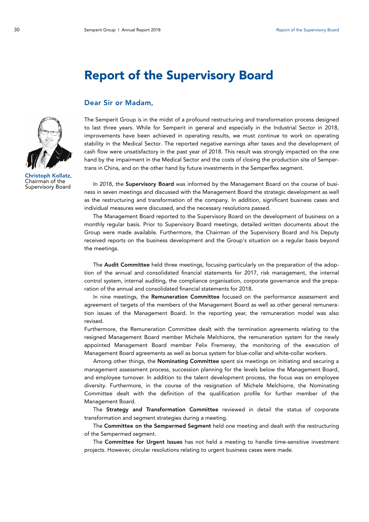## Report of the Supervisory Board

## Dear Sir or Madam,

Christoph Kollatz, Chairman of the Supervisory Board

The Semperit Group is in the midst of a profound restructuring and transformation process designed to last three years. While for Semperit in general and especially in the Industrial Sector in 2018, improvements have been achieved in operating results, we must continue to work on operating stability in the Medical Sector. The reported negative earnings after taxes and the development of cash flow were unsatisfactory in the past year of 2018. This result was strongly impacted on the one hand by the impairment in the Medical Sector and the costs of closing the production site of Sempertrans in China, and on the other hand by future investments in the Semperflex segment.

In 2018, the Supervisory Board was informed by the Management Board on the course of business in seven meetings and discussed with the Management Board the strategic development as well as the restructuring and transformation of the company. In addition, significant business cases and individual measures were discussed, and the necessary resolutions passed.

The Management Board reported to the Supervisory Board on the development of business on a monthly regular basis. Prior to Supervisory Board meetings, detailed written documents about the Group were made available. Furthermore, the Chairman of the Supervisory Board and his Deputy received reports on the business development and the Group's situation on a regular basis beyond the meetings.

The Audit Committee held three meetings, focusing particularly on the preparation of the adoption of the annual and consolidated financial statements for 2017, risk management, the internal control system, internal auditing, the compliance organisation, corporate governance and the preparation of the annual and consolidated financial statements for 2018.

In nine meetings, the Remuneration Committee focused on the performance assessment and agreement of targets of the members of the Management Board as well as other general remuneration issues of the Management Board. In the reporting year, the remuneration model was also revised.

Furthermore, the Remuneration Committee dealt with the termination agreements relating to the resigned Management Board member Michele Melchiorre, the remuneration system for the newly appointed Management Board member Felix Fremerey, the monitoring of the execution of Management Board agreements as well as bonus system for blue-collar and white-collar workers.

Among other things, the Nominating Committee spent six meetings on initiating and securing a management assessment process, succession planning for the levels below the Management Board, and employee turnover. In addition to the talent development process, the focus was on employee diversity. Furthermore, in the course of the resignation of Michele Melchiorre, the Nominating Committee dealt with the definition of the qualification profile for further member of the Management Board.

The Strategy and Transformation Committee reviewed in detail the status of corporate transformation and segment strategies during a meeting.

The Committee on the Sempermed Segment held one meeting and dealt with the restructuring of the Sempermed segment.

The Committee for Urgent Issues has not held a meeting to handle time-sensitive investment projects. However, circular resolutions relating to urgent business cases were made.